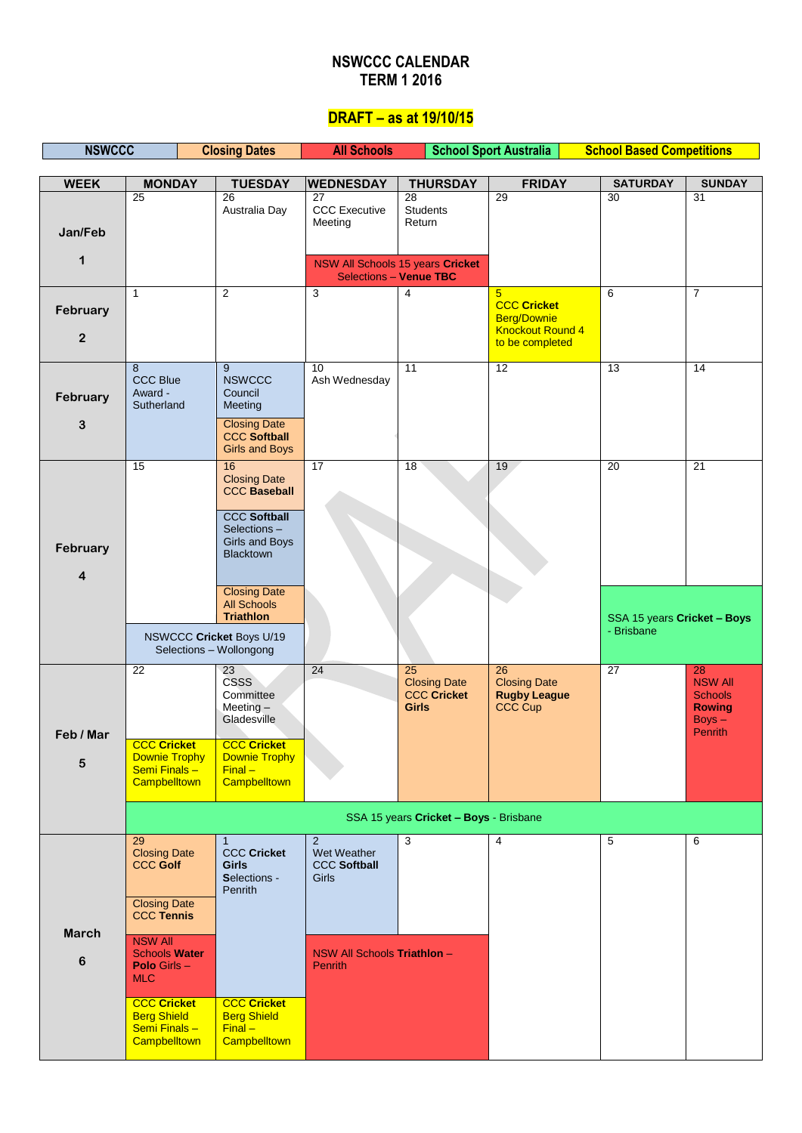### **NSWCCC CALENDAR TERM 1 2016**

# **DRAFT – as at 19/10/15**

| <b>NSWCCC</b>              |                                                                                          | <b>Closing Dates</b>                                                      | <b>All Schools</b>                               |                                                                              | <b>School Sport Australia</b>                                                          | <b>School Based Competitions</b>          |                                                                                       |
|----------------------------|------------------------------------------------------------------------------------------|---------------------------------------------------------------------------|--------------------------------------------------|------------------------------------------------------------------------------|----------------------------------------------------------------------------------------|-------------------------------------------|---------------------------------------------------------------------------------------|
| <b>WEEK</b>                | <b>MONDAY</b>                                                                            | <b>TUESDAY</b>                                                            | <b>WEDNESDAY</b>                                 | <b>THURSDAY</b>                                                              | <b>FRIDAY</b>                                                                          | <b>SATURDAY</b>                           | <b>SUNDAY</b>                                                                         |
| Jan/Feb                    | 25                                                                                       | 26<br>Australia Day                                                       | 27<br><b>CCC</b> Executive<br>Meeting            | 28<br>Students<br>Return                                                     | 29                                                                                     | 30                                        | 31                                                                                    |
| 1                          |                                                                                          |                                                                           |                                                  | NSW All Schools 15 years Cricket                                             |                                                                                        |                                           |                                                                                       |
|                            | $\mathbf{1}$                                                                             | $\overline{2}$                                                            | 3                                                | <b>Selections - Venue TBC</b><br>$\overline{4}$                              | $5\overline{)}$                                                                        | 6                                         | $\overline{7}$                                                                        |
| February<br>$\overline{2}$ |                                                                                          |                                                                           |                                                  |                                                                              | <b>CCC Cricket</b><br><b>Berg/Downie</b><br><b>Knockout Round 4</b><br>to be completed |                                           |                                                                                       |
| February<br>3              | 8<br><b>CCC Blue</b><br>Award -<br>Sutherland                                            | 9<br><b>NSWCCC</b><br>Council<br>Meeting<br><b>Closing Date</b>           | 10<br>Ash Wednesday                              | $\overline{11}$                                                              | 12                                                                                     | 13                                        | $\overline{14}$                                                                       |
|                            |                                                                                          | <b>CCC Softball</b><br><b>Girls and Boys</b>                              |                                                  |                                                                              |                                                                                        |                                           |                                                                                       |
|                            | 15                                                                                       | 16<br><b>Closing Date</b><br><b>CCC Baseball</b><br><b>CCC Softball</b>   | 17                                               | 18                                                                           | 19                                                                                     | 20                                        | 21                                                                                    |
| February<br>4              |                                                                                          | Selections-<br>Girls and Boys<br><b>Blacktown</b>                         |                                                  |                                                                              |                                                                                        |                                           |                                                                                       |
|                            |                                                                                          | <b>Closing Date</b><br><b>All Schools</b><br><b>Triathlon</b>             |                                                  |                                                                              |                                                                                        | SSA 15 years Cricket - Boys<br>- Brisbane |                                                                                       |
|                            | NSWCCC Cricket Boys U/19<br>Selections - Wollongong                                      |                                                                           |                                                  |                                                                              |                                                                                        |                                           |                                                                                       |
| Feb / Mar                  | $\overline{22}$                                                                          | $\overline{23}$<br><b>CSSS</b><br>Committee<br>Meeting $-$<br>Gladesville | $\overline{24}$                                  | $\overline{25}$<br><b>Closing Date</b><br><b>CCC Cricket</b><br><b>Girls</b> | $\overline{26}$<br><b>Closing Date</b><br><b>Rugby League</b><br>CCC Cup               | $\overline{27}$                           | 28<br><b>NSW All</b><br><b>Schools</b><br><b>Rowing</b><br>$Boys -$<br><b>Penrith</b> |
| 5                          | <b>CCC Cricket</b><br><b>Downie Trophy</b><br>Semi Finals-<br>Campbelltown               | <b>CCC Cricket</b><br><b>Downie Trophy</b><br>$Final -$<br>Campbelltown   |                                                  |                                                                              |                                                                                        |                                           |                                                                                       |
|                            |                                                                                          |                                                                           |                                                  | SSA 15 years Cricket - Boys - Brisbane                                       |                                                                                        |                                           |                                                                                       |
|                            | 29<br><b>Closing Date</b><br><b>CCC Golf</b>                                             | <b>CCC Cricket</b><br><b>Girls</b><br>Selections -<br>Penrith             | 2<br>Wet Weather<br><b>CCC Softball</b><br>Girls | 3                                                                            | $\overline{4}$                                                                         | 5                                         | 6                                                                                     |
| <b>March</b>               | <b>Closing Date</b><br><b>CCC Tennis</b>                                                 |                                                                           |                                                  |                                                                              |                                                                                        |                                           |                                                                                       |
| $\bf 6$                    | <b>NSW All</b><br><b>Schools Water</b><br><b>Polo Girls <math>-</math></b><br><b>MLC</b> |                                                                           | NSW All Schools Triathlon -<br><b>Penrith</b>    |                                                                              |                                                                                        |                                           |                                                                                       |
|                            | <b>CCC Cricket</b><br><b>Berg Shield</b><br>Semi Finals -<br>Campbelltown                | <b>CCC Cricket</b><br><b>Berg Shield</b><br>$Final -$<br>Campbelltown     |                                                  |                                                                              |                                                                                        |                                           |                                                                                       |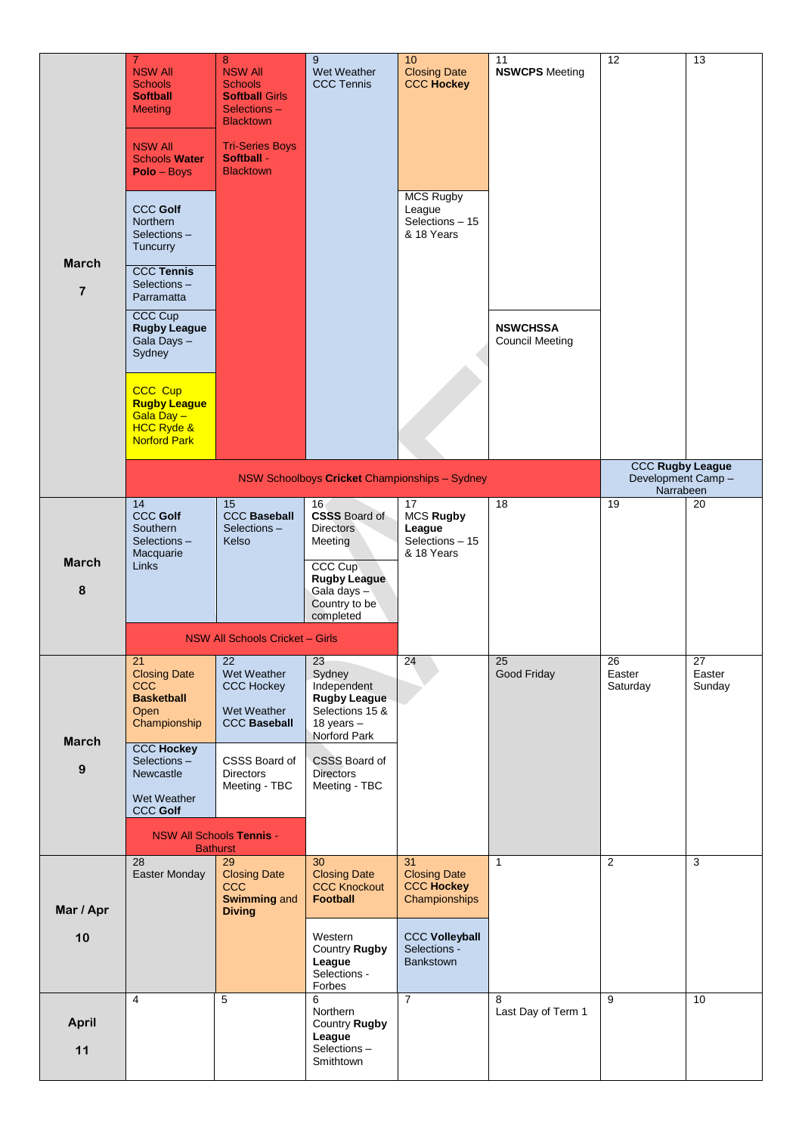| <b>March</b><br>$\overline{7}$ | $\overline{7}$<br><b>NSW All</b><br><b>Schools</b><br><b>Softball</b><br><b>Meeting</b><br><b>NSW All</b><br><b>Schools Water</b><br>Polo - Boys<br><b>CCC Golf</b><br>Northern<br>Selections-<br>Tuncurry<br><b>CCC Tennis</b><br>Selections-<br>Parramatta<br><b>CCC Cup</b><br><b>Rugby League</b><br>Gala Days - | 8<br><b>NSW All</b><br><b>Schools</b><br><b>Softball Girls</b><br>Selections-<br><b>Blacktown</b><br><b>Tri-Series Boys</b><br>Softball -<br><b>Blacktown</b> | 9<br>Wet Weather<br><b>CCC Tennis</b>                                                                                                                 | 10<br><b>Closing Date</b><br><b>CCC Hockey</b><br><b>MCS Rugby</b><br>League<br>Selections - 15<br>& 18 Years | 11<br><b>NSWCPS</b> Meeting<br><b>NSWCHSSA</b><br><b>Council Meeting</b> | 12                                                         | 13                     |
|--------------------------------|----------------------------------------------------------------------------------------------------------------------------------------------------------------------------------------------------------------------------------------------------------------------------------------------------------------------|---------------------------------------------------------------------------------------------------------------------------------------------------------------|-------------------------------------------------------------------------------------------------------------------------------------------------------|---------------------------------------------------------------------------------------------------------------|--------------------------------------------------------------------------|------------------------------------------------------------|------------------------|
|                                | Sydney<br>CCC Cup<br><b>Rugby League</b><br>Gala Day -<br><b>HCC Ryde &amp;</b><br><b>Norford Park</b>                                                                                                                                                                                                               |                                                                                                                                                               |                                                                                                                                                       |                                                                                                               |                                                                          |                                                            |                        |
|                                |                                                                                                                                                                                                                                                                                                                      |                                                                                                                                                               |                                                                                                                                                       | NSW Schoolboys Cricket Championships - Sydney                                                                 |                                                                          | <b>CCC Rugby League</b><br>Development Camp -<br>Narrabeen |                        |
| <b>March</b><br>8              | 14<br><b>CCC Golf</b><br>Southern<br>Selections-<br>Macquarie<br><b>Links</b>                                                                                                                                                                                                                                        | 15<br><b>CCC Baseball</b><br>Selections-<br>Kelso                                                                                                             | 16 <sub>1</sub><br><b>CSSS Board of</b><br><b>Directors</b><br>Meeting<br>CCC Cup<br><b>Rugby League</b><br>Gala days -<br>Country to be<br>completed | 17<br><b>MCS Rugby</b><br>League<br>Selections - 15<br>& 18 Years                                             | 18                                                                       | 19                                                         | 20                     |
|                                |                                                                                                                                                                                                                                                                                                                      | NSW All Schools Cricket - Girls                                                                                                                               |                                                                                                                                                       |                                                                                                               |                                                                          |                                                            |                        |
| <b>March</b>                   | 21<br><b>Closing Date</b><br>ccc<br><b>Basketball</b><br>Open<br>Championship<br><b>CCC Hockey</b>                                                                                                                                                                                                                   | 22<br>Wet Weather<br><b>CCC Hockey</b><br>Wet Weather<br><b>CCC Baseball</b>                                                                                  | 23<br>Sydney<br>Independent<br><b>Rugby League</b><br>Selections 15 &<br>18 years -<br>Norford Park                                                   | 24                                                                                                            | 25<br>Good Friday                                                        | 26<br>Easter<br>Saturday                                   | 27<br>Easter<br>Sunday |
| $\boldsymbol{9}$               | Selections-<br><b>Newcastle</b><br>Wet Weather<br><b>CCC Golf</b>                                                                                                                                                                                                                                                    | CSSS Board of<br><b>Directors</b><br>Meeting - TBC<br><b>NSW All Schools Tennis -</b>                                                                         | CSSS Board of<br><b>Directors</b><br>Meeting - TBC                                                                                                    |                                                                                                               |                                                                          |                                                            |                        |
|                                | 28                                                                                                                                                                                                                                                                                                                   | <b>Bathurst</b><br>$\overline{29}$                                                                                                                            | $\overline{30}$                                                                                                                                       | $\overline{31}$                                                                                               | $\mathbf{1}$                                                             | $\overline{2}$                                             | $\overline{3}$         |
| Mar / Apr                      | Easter Monday                                                                                                                                                                                                                                                                                                        | <b>Closing Date</b><br><b>CCC</b><br><b>Swimming and</b><br><b>Diving</b>                                                                                     | <b>Closing Date</b><br><b>CCC Knockout</b><br><b>Football</b>                                                                                         | <b>Closing Date</b><br><b>CCC Hockey</b><br>Championships                                                     |                                                                          |                                                            |                        |
| 10                             |                                                                                                                                                                                                                                                                                                                      |                                                                                                                                                               | Western<br>Country Rugby<br>League<br>Selections -<br>Forbes                                                                                          | <b>CCC Volleyball</b><br>Selections -<br><b>Bankstown</b>                                                     |                                                                          |                                                            |                        |
| <b>April</b><br>11             | $\overline{4}$                                                                                                                                                                                                                                                                                                       | 5                                                                                                                                                             | 6<br>Northern<br>Country Rugby<br>League<br>Selections-<br>Smithtown                                                                                  | $\overline{7}$                                                                                                | 8<br>Last Day of Term 1                                                  | $\overline{9}$                                             | 10                     |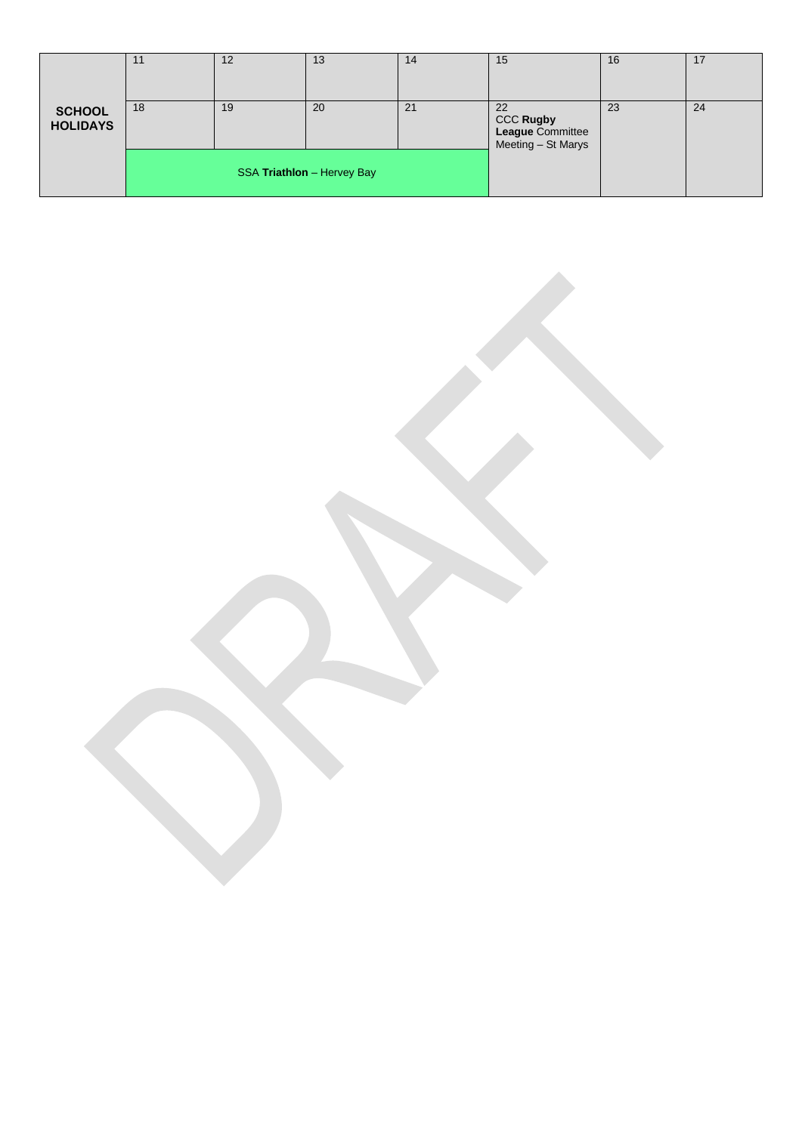|                                  | 11 | 12 | 13                         | 14 | 15                                                        | 16 | 17 |
|----------------------------------|----|----|----------------------------|----|-----------------------------------------------------------|----|----|
| <b>SCHOOL</b><br><b>HOLIDAYS</b> | 18 | 19 | 20                         | 21 | 22<br>CCC Rugby<br>League Committee<br>Meeting - St Marys | 23 | 24 |
|                                  |    |    | SSA Triathlon - Hervey Bay |    |                                                           |    |    |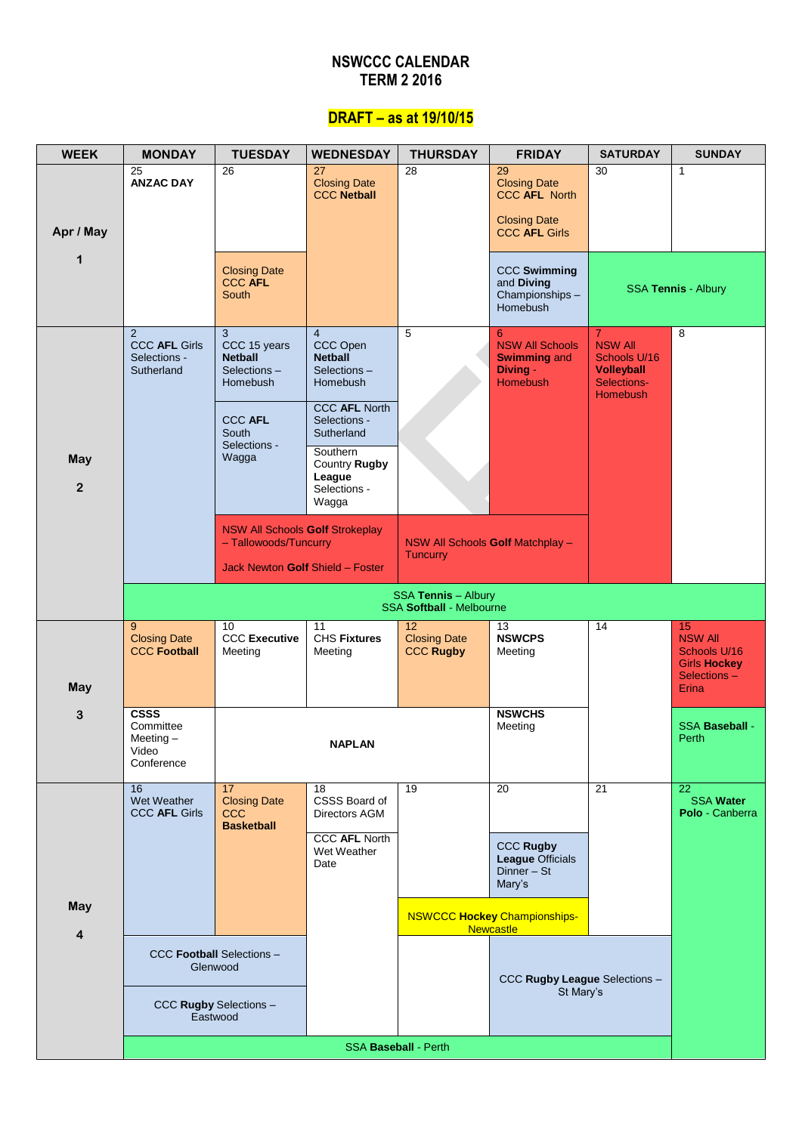### **NSWCCC CALENDAR TERM 2 2016**

# **DRAFT – as at 19/10/15**

| <b>WEEK</b>           | <b>MONDAY</b>                                                  | <b>TUESDAY</b>                                                                                      | <b>WEDNESDAY</b>                                                        | <b>THURSDAY</b>                                        | <b>FRIDAY</b>                                                                                    | <b>SATURDAY</b>                                                                                         | <b>SUNDAY</b>                                                              |
|-----------------------|----------------------------------------------------------------|-----------------------------------------------------------------------------------------------------|-------------------------------------------------------------------------|--------------------------------------------------------|--------------------------------------------------------------------------------------------------|---------------------------------------------------------------------------------------------------------|----------------------------------------------------------------------------|
| Apr / May             | $\overline{25}$<br><b>ANZAC DAY</b>                            | $\overline{26}$                                                                                     | 27<br><b>Closing Date</b><br><b>CCC Netball</b>                         | $\overline{28}$                                        | 29<br><b>Closing Date</b><br><b>CCC AFL North</b><br><b>Closing Date</b><br><b>CCC AFL Girls</b> | $\overline{30}$                                                                                         | $\mathbf{1}$                                                               |
| 1                     |                                                                | <b>Closing Date</b><br><b>CCC AFL</b><br>South                                                      |                                                                         |                                                        | <b>CCC Swimming</b><br>and Diving<br>Championships-<br>Homebush                                  |                                                                                                         | SSA Tennis - Albury                                                        |
|                       | 2<br><b>CCC AFL Girls</b><br>Selections -<br>Sutherland        | 3<br>CCC 15 years<br><b>Netball</b><br>Selections-<br><b>Homebush</b>                               | $\overline{4}$<br>CCC Open<br><b>Netball</b><br>Selections-<br>Homebush | 5                                                      | 6<br><b>NSW All Schools</b><br><b>Swimming and</b><br>Diving -<br><b>Homebush</b>                | $\overline{7}$<br><b>NSW All</b><br>Schools U/16<br><b>Volleyball</b><br>Selections-<br><b>Homebush</b> | 8                                                                          |
|                       |                                                                | <b>CCC AFL</b><br>South<br>Selections -                                                             | <b>CCC AFL North</b><br>Selections -<br>Sutherland                      |                                                        |                                                                                                  |                                                                                                         |                                                                            |
| May<br>$\overline{2}$ |                                                                | Wagga                                                                                               | Southern<br>Country Rugby<br>League<br>Selections -<br>Wagga            |                                                        |                                                                                                  |                                                                                                         |                                                                            |
|                       |                                                                | <b>NSW All Schools Golf Strokeplay</b><br>- Tallowoods/Tuncurry<br>Jack Newton Golf Shield - Foster |                                                                         | <b>Tuncurry</b>                                        | NSW All Schools Golf Matchplay -                                                                 |                                                                                                         |                                                                            |
|                       |                                                                |                                                                                                     |                                                                         | SSA Tennis - Albury<br><b>SSA Softball - Melbourne</b> |                                                                                                  |                                                                                                         |                                                                            |
|                       | 9<br><b>Closing Date</b><br><b>CCC Football</b>                | 10<br><b>CCC Executive</b><br>Meeting                                                               | 11<br><b>CHS Fixtures</b><br>Meeting                                    | 12<br><b>Closing Date</b><br><b>CCC Rugby</b>          | 13<br><b>NSWCPS</b><br>Meeting                                                                   | 14                                                                                                      | 15<br><b>NSW All</b><br>Schools U/16<br><b>Girls Hockey</b><br>Selections- |
| May                   |                                                                |                                                                                                     |                                                                         |                                                        |                                                                                                  |                                                                                                         | Erina                                                                      |
| 3                     | <b>CSSS</b><br>Committee<br>Meeting $-$<br>Video<br>Conference |                                                                                                     | <b>NAPLAN</b>                                                           |                                                        | <b>NSWCHS</b><br>Meeting                                                                         |                                                                                                         | <b>SSA Baseball -</b><br>Perth                                             |
|                       | 16<br>Wet Weather<br><b>CCC AFL Girls</b>                      | 17<br><b>Closing Date</b><br>ccc<br><b>Basketball</b>                                               | 18<br>CSSS Board of<br>Directors AGM                                    | $\overline{19}$                                        | $\overline{20}$                                                                                  | $\overline{21}$                                                                                         | $\overline{22}$<br><b>SSA Water</b><br>Polo - Canberra                     |
|                       |                                                                |                                                                                                     | <b>CCC AFL North</b><br>Wet Weather<br>Date                             |                                                        | <b>CCC Rugby</b><br><b>League Officials</b><br>Dinner - St<br>Mary's                             |                                                                                                         |                                                                            |
| May<br>$\overline{4}$ |                                                                |                                                                                                     |                                                                         |                                                        | <b>NSWCCC Hockey Championships-</b><br><b>Newcastle</b>                                          |                                                                                                         |                                                                            |
|                       |                                                                | <b>CCC Football Selections -</b><br>Glenwood                                                        |                                                                         |                                                        | CCC Rugby League Selections -                                                                    |                                                                                                         |                                                                            |
|                       |                                                                | CCC Rugby Selections -<br>Eastwood                                                                  |                                                                         |                                                        | St Mary's                                                                                        |                                                                                                         |                                                                            |
|                       |                                                                |                                                                                                     |                                                                         | <b>SSA Baseball - Perth</b>                            |                                                                                                  |                                                                                                         |                                                                            |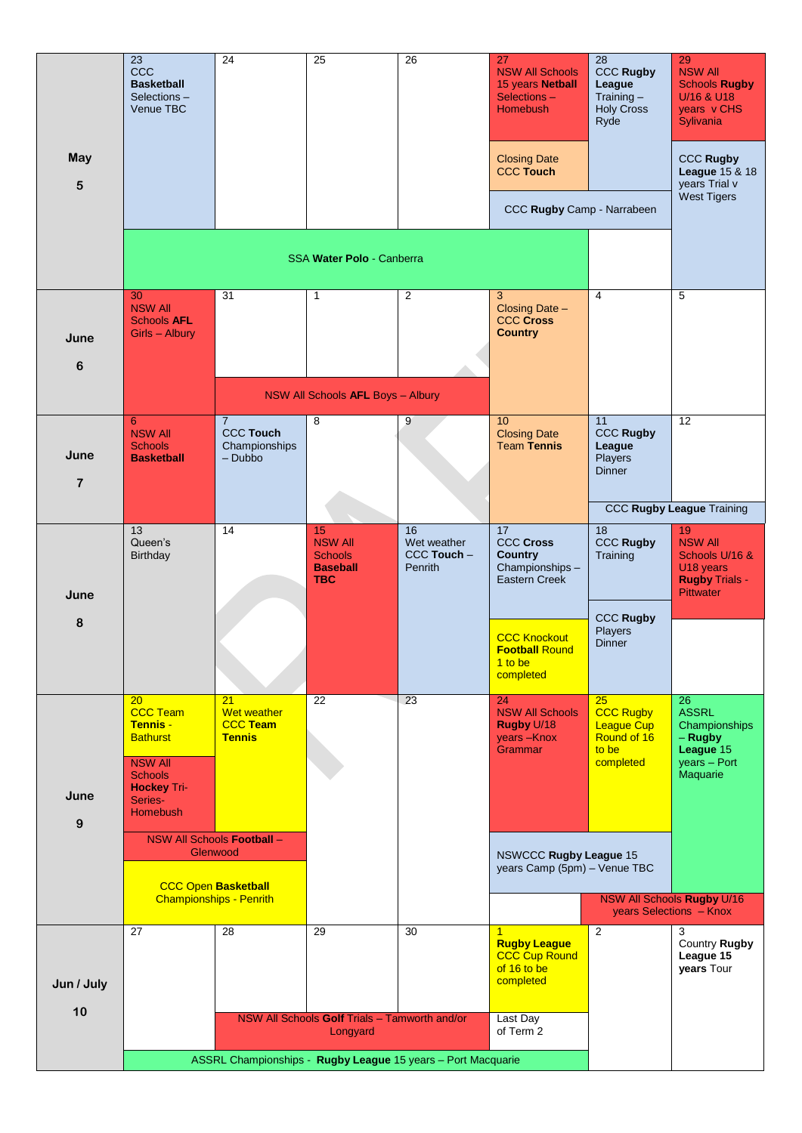|            | 23<br><b>CCC</b><br><b>Basketball</b><br>Selections-<br>Venue TBC                                                                                   | 24                                                                   | 25                                                               | 26                                          | 27<br><b>NSW All Schools</b><br>15 years Netball<br>Selections-<br><b>Homebush</b>       | 28<br><b>CCC Rugby</b><br>League<br>Training $-$<br><b>Holy Cross</b><br>Ryde    | 29<br><b>NSW All</b><br><b>Schools Rugby</b><br>U/16 & U18<br>years v CHS<br>Sylivania                       |
|------------|-----------------------------------------------------------------------------------------------------------------------------------------------------|----------------------------------------------------------------------|------------------------------------------------------------------|---------------------------------------------|------------------------------------------------------------------------------------------|----------------------------------------------------------------------------------|--------------------------------------------------------------------------------------------------------------|
| May<br>5   |                                                                                                                                                     |                                                                      |                                                                  |                                             | <b>Closing Date</b><br><b>CCC Touch</b>                                                  |                                                                                  | <b>CCC Rugby</b><br><b>League 15 &amp; 18</b><br>years Trial v                                               |
|            |                                                                                                                                                     |                                                                      |                                                                  |                                             | CCC Rugby Camp - Narrabeen                                                               |                                                                                  | <b>West Tigers</b>                                                                                           |
|            |                                                                                                                                                     |                                                                      | SSA Water Polo - Canberra                                        |                                             |                                                                                          |                                                                                  |                                                                                                              |
| June<br>6  | 30<br><b>NSW All</b><br><b>Schools AFL</b><br>Girls - Albury                                                                                        | $\overline{31}$                                                      | $\mathbf{1}$                                                     | $\overline{2}$                              | 3<br>Closing Date -<br><b>CCC Cross</b><br><b>Country</b>                                | $\overline{4}$                                                                   | 5                                                                                                            |
|            |                                                                                                                                                     |                                                                      | NSW All Schools AFL Boys - Albury                                |                                             |                                                                                          |                                                                                  |                                                                                                              |
| June<br>7  | 6<br><b>NSW All</b><br><b>Schools</b><br><b>Basketball</b>                                                                                          | $\overline{7}$<br><b>CCC Touch</b><br>Championships<br>$-$ Dubbo     | 8                                                                | 9                                           | 10<br><b>Closing Date</b><br><b>Team Tennis</b>                                          | 11<br><b>CCC Rugby</b><br>League<br>Players<br><b>Dinner</b>                     | 12                                                                                                           |
|            |                                                                                                                                                     |                                                                      |                                                                  |                                             |                                                                                          |                                                                                  | <b>CCC Rugby League Training</b>                                                                             |
| June       | $\overline{13}$<br>Queen's<br><b>Birthday</b>                                                                                                       | $\overline{14}$                                                      | 15<br><b>NSW All</b><br><b>Schools</b><br><b>Baseball</b><br>TBC | 16<br>Wet weather<br>CCC Touch -<br>Penrith | $\overline{17}$<br><b>CCC Cross</b><br><b>Country</b><br>Championships-<br>Eastern Creek | 18<br><b>CCC Rugby</b><br>Training                                               | 19<br><b>NSW All</b><br>Schools U/16 &<br>U <sub>18</sub> years<br><b>Rugby Trials -</b><br><b>Pittwater</b> |
| 8          |                                                                                                                                                     |                                                                      |                                                                  |                                             | <b>CCC Knockout</b><br><b>Football Round</b><br>1 to be<br>completed                     | <b>CCC Rugby</b><br>Players<br><b>Dinner</b>                                     |                                                                                                              |
| June<br>9  | 20<br><b>CCC Team</b><br><b>Tennis -</b><br><b>Bathurst</b><br><b>NSW All</b><br><b>Schools</b><br><b>Hockey Tri-</b><br>Series-<br><b>Homebush</b> | 21<br>Wet weather<br><b>CCC Team</b><br><b>Tennis</b>                | 22                                                               | 23                                          | 24<br><b>NSW All Schools</b><br>Rugby U/18<br>years-Knox<br>Grammar                      | 25<br><b>CCC Rugby</b><br><b>League Cup</b><br>Round of 16<br>to be<br>completed | $\overline{26}$<br><b>ASSRL</b><br>Championships<br>- Rugby<br>League 15<br>years - Port<br>Maquarie         |
|            |                                                                                                                                                     | NSW All Schools Football -<br>Glenwood<br><b>CCC Open Basketball</b> |                                                                  |                                             | <b>NSWCCC Rugby League 15</b><br>years Camp (5pm) - Venue TBC                            |                                                                                  |                                                                                                              |
|            |                                                                                                                                                     | <b>Championships - Penrith</b>                                       |                                                                  |                                             |                                                                                          |                                                                                  | <b>NSW All Schools Rugby U/16</b><br>years Selections - Knox                                                 |
| Jun / July | 27                                                                                                                                                  | 28                                                                   | 29                                                               | 30                                          | 1<br><b>Rugby League</b><br><b>CCC Cup Round</b><br>of 16 to be<br>completed             | $\overline{2}$                                                                   | 3<br>Country Rugby<br>League 15<br>years Tour                                                                |
| 10         |                                                                                                                                                     |                                                                      | NSW All Schools Golf Trials - Tamworth and/or<br>Longyard        |                                             | Last Day<br>of Term 2                                                                    |                                                                                  |                                                                                                              |
|            |                                                                                                                                                     | ASSRL Championships - Rugby League 15 years - Port Macquarie         |                                                                  |                                             |                                                                                          |                                                                                  |                                                                                                              |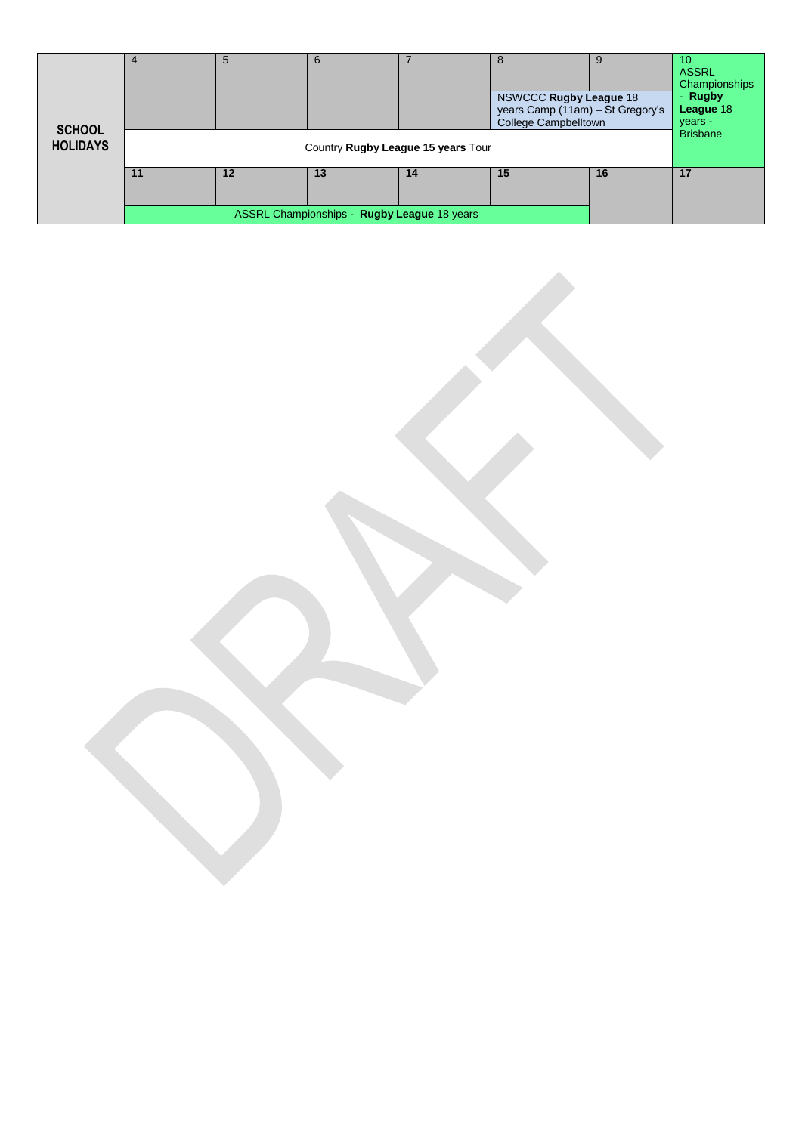| <b>SCHOOL</b><br><b>HOLIDAYS</b> |    | 5  |                                             | Country Rugby League 15 years Tour | 8<br><b>NSWCCC Rugby League 18</b><br>years Camp (11am) - St Gregory's<br><b>College Campbelltown</b> |    | <b>ASSRL</b><br>Championships<br>- Rugby<br>League 18<br>years -<br><b>Brisbane</b> |
|----------------------------------|----|----|---------------------------------------------|------------------------------------|-------------------------------------------------------------------------------------------------------|----|-------------------------------------------------------------------------------------|
|                                  | 11 | 12 | 13                                          | 14                                 | 15                                                                                                    | 16 | 17                                                                                  |
|                                  |    |    | ASSRL Championships - Rugby League 18 years |                                    |                                                                                                       |    |                                                                                     |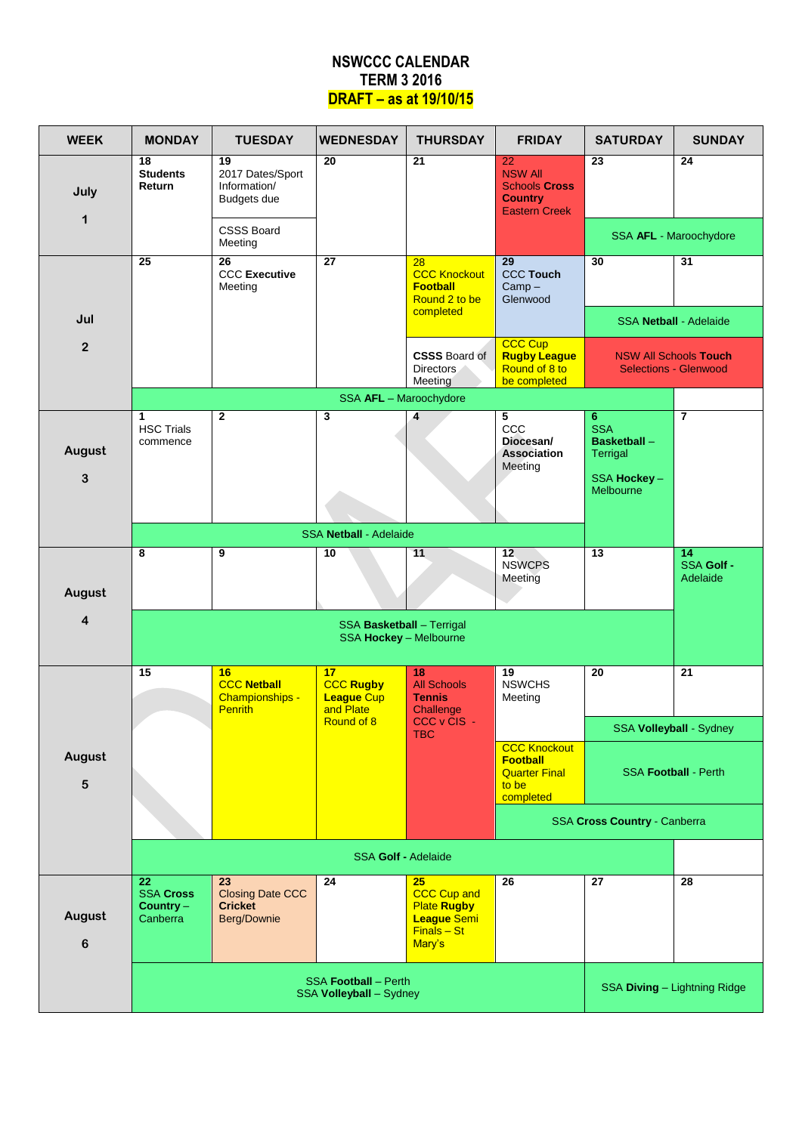### **NSWCCC CALENDAR TERM 3 2016 DRAFT – as at 19/10/15**

| <b>WEEK</b>       | <b>MONDAY</b>                                                  | <b>TUESDAY</b>                                                 | <b>WEDNESDAY</b>                                           | <b>THURSDAY</b>                                                                                 | <b>FRIDAY</b>                                                                          | <b>SATURDAY</b>                                                                       | <b>SUNDAY</b>                                                |
|-------------------|----------------------------------------------------------------|----------------------------------------------------------------|------------------------------------------------------------|-------------------------------------------------------------------------------------------------|----------------------------------------------------------------------------------------|---------------------------------------------------------------------------------------|--------------------------------------------------------------|
| July<br>1         | 18<br><b>Students</b><br>Return                                | 19<br>2017 Dates/Sport<br>Information/<br><b>Budgets due</b>   | 20                                                         | 21                                                                                              | 22<br><b>NSW All</b><br><b>Schools Cross</b><br><b>Country</b><br><b>Eastern Creek</b> | 23                                                                                    | 24                                                           |
|                   |                                                                | <b>CSSS Board</b><br>Meeting                                   |                                                            |                                                                                                 |                                                                                        |                                                                                       | SSA AFL - Maroochydore                                       |
|                   | 25                                                             | $\overline{26}$<br><b>CCC Executive</b><br>Meeting             | $\overline{27}$                                            | $\overline{28}$<br><b>CCC Knockout</b><br><b>Football</b><br>Round 2 to be                      | 29<br><b>CCC Touch</b><br>$Camp -$<br>Glenwood                                         | 30                                                                                    | 31                                                           |
| Jul               |                                                                |                                                                |                                                            | completed                                                                                       |                                                                                        |                                                                                       | <b>SSA Netball - Adelaide</b>                                |
| $\overline{2}$    |                                                                |                                                                |                                                            | <b>CSSS Board of</b><br><b>Directors</b><br>Meeting                                             | <b>CCC Cup</b><br><b>Rugby League</b><br>Round of 8 to<br>be completed                 |                                                                                       | <b>NSW All Schools Touch</b><br><b>Selections - Glenwood</b> |
|                   |                                                                |                                                                | SSA AFL - Maroochydore                                     |                                                                                                 |                                                                                        |                                                                                       |                                                              |
| August<br>3       | 1<br><b>HSC Trials</b><br>commence                             | $\mathbf 2$                                                    | $\mathbf{3}$                                               | 4                                                                                               | 5<br>ccc<br>Diocesan/<br>Association<br>Meeting                                        | 6<br><b>SSA</b><br><b>Basketball -</b><br><b>Terrigal</b><br>SSA Hockey-<br>Melbourne | $\overline{\mathbf{z}}$                                      |
|                   |                                                                |                                                                | <b>SSA Netball - Adelaide</b>                              |                                                                                                 |                                                                                        |                                                                                       |                                                              |
| August            | 8                                                              | 9                                                              | 10                                                         | 11                                                                                              | 12<br><b>NSWCPS</b><br>Meeting                                                         | $\overline{13}$                                                                       | 14<br>SSA Golf -<br>Adelaide                                 |
| 4                 |                                                                |                                                                | <b>SSA Basketball - Terrigal</b><br>SSA Hockey - Melbourne |                                                                                                 |                                                                                        |                                                                                       |                                                              |
|                   | 15                                                             | 16<br><b>CCC Netball</b><br>Championships -<br><b>Penrith</b>  | 17<br><b>CCC Rugby</b><br><b>League Cup</b><br>and Plate   | 18<br><b>All Schools</b><br><b>Tennis</b><br>Challenge                                          | 19<br><b>NSWCHS</b><br>Meeting                                                         | 20                                                                                    | 21                                                           |
|                   |                                                                |                                                                | Round of 8                                                 | CCC v CIS -<br><b>TBC</b>                                                                       |                                                                                        |                                                                                       | SSA Volleyball - Sydney                                      |
| August<br>5       |                                                                |                                                                |                                                            |                                                                                                 | <b>CCC Knockout</b><br><b>Football</b><br><b>Quarter Final</b><br>to be<br>completed   |                                                                                       | <b>SSA Football - Perth</b>                                  |
|                   |                                                                |                                                                |                                                            |                                                                                                 |                                                                                        | SSA Cross Country - Canberra                                                          |                                                              |
|                   |                                                                |                                                                | <b>SSA Golf - Adelaide</b>                                 |                                                                                                 |                                                                                        |                                                                                       |                                                              |
| August<br>$\bf 6$ | $\overline{22}$<br><b>SSA Cross</b><br>$Country -$<br>Canberra | 23<br><b>Closing Date CCC</b><br><b>Cricket</b><br>Berg/Downie | 24                                                         | 25<br><b>CCC Cup and</b><br><b>Plate Rugby</b><br><b>League Semi</b><br>$Finals - St$<br>Mary's | 26                                                                                     | 27                                                                                    | $\overline{28}$                                              |
|                   |                                                                | <b>SSA Football - Perth</b><br>SSA Volleyball - Sydney         |                                                            | SSA Diving - Lightning Ridge                                                                    |                                                                                        |                                                                                       |                                                              |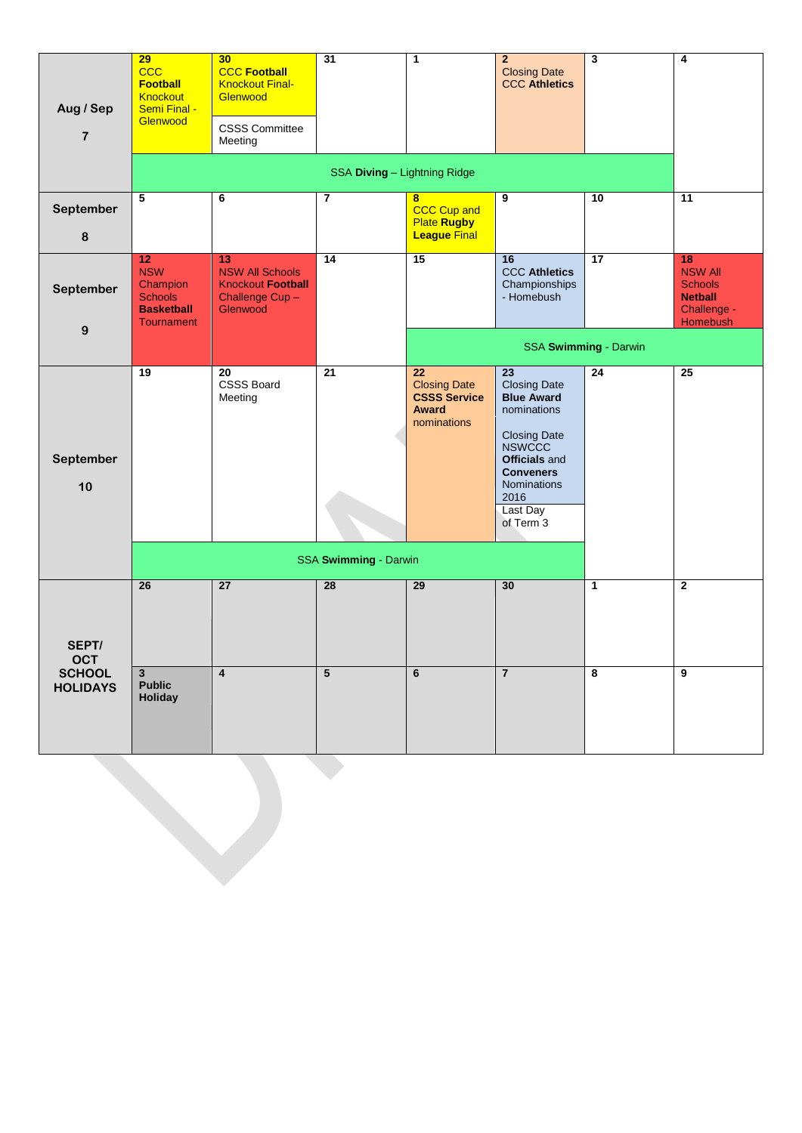| Aug / Sep<br>$\overline{\mathbf{r}}$ | 29<br><b>CCC</b><br><b>Football</b><br><b>Knockout</b><br>Semi Final -<br>Glenwood       | 30<br><b>CCC Football</b><br><b>Knockout Final-</b><br>Glenwood<br><b>CSSS Committee</b><br>Meeting | 31                           | $\mathbf{1}$                                                                    | $\overline{2}$<br><b>Closing Date</b><br><b>CCC Athletics</b>                                                                                                                                                   | 3                     | 4                                                                                   |
|--------------------------------------|------------------------------------------------------------------------------------------|-----------------------------------------------------------------------------------------------------|------------------------------|---------------------------------------------------------------------------------|-----------------------------------------------------------------------------------------------------------------------------------------------------------------------------------------------------------------|-----------------------|-------------------------------------------------------------------------------------|
|                                      |                                                                                          |                                                                                                     | SSA Diving - Lightning Ridge |                                                                                 |                                                                                                                                                                                                                 |                       |                                                                                     |
| September<br>8                       | 5                                                                                        | $\overline{\mathbf{6}}$                                                                             | $\overline{7}$               | 8<br><b>CCC Cup and</b><br><b>Plate Rugby</b><br><b>League Final</b>            | $\overline{9}$                                                                                                                                                                                                  | $\overline{10}$       | $\overline{11}$                                                                     |
| September                            | 12<br><b>NSW</b><br>Champion<br><b>Schools</b><br><b>Basketball</b><br><b>Tournament</b> | 13<br><b>NSW All Schools</b><br><b>Knockout Football</b><br>Challenge Cup-<br>Glenwood              | 14                           | 15                                                                              | 16<br><b>CCC Athletics</b><br>Championships<br>- Homebush                                                                                                                                                       | $\overline{17}$       | 18<br><b>NSW All</b><br><b>Schools</b><br><b>Netball</b><br>Challenge -<br>Homebush |
| $\boldsymbol{9}$                     |                                                                                          |                                                                                                     |                              |                                                                                 |                                                                                                                                                                                                                 | SSA Swimming - Darwin |                                                                                     |
| September<br>10                      | 19                                                                                       | 20<br><b>CSSS Board</b><br>Meeting                                                                  | 21                           | 22<br><b>Closing Date</b><br><b>CSSS Service</b><br><b>Award</b><br>nominations | 23<br><b>Closing Date</b><br><b>Blue Award</b><br>nominations<br><b>Closing Date</b><br><b>NSWCCC</b><br><b>Officials</b> and<br><b>Conveners</b><br><b>Nominations</b><br>2016<br><b>Last Day</b><br>of Term 3 | 24                    | 25                                                                                  |
|                                      |                                                                                          |                                                                                                     | SSA Swimming - Darwin        |                                                                                 |                                                                                                                                                                                                                 |                       |                                                                                     |
| SEPT/<br><b>OCT</b>                  | $\overline{26}$                                                                          | $\overline{27}$                                                                                     | $\overline{28}$              | 29                                                                              | 30                                                                                                                                                                                                              | $\mathbf{1}$          | $\overline{\mathbf{2}}$                                                             |
| <b>SCHOOL</b><br><b>HOLIDAYS</b>     | $\mathbf{3}$<br><b>Public</b><br>Holiday                                                 | $\overline{\mathbf{4}}$                                                                             | 5                            | 6                                                                               | $\overline{7}$                                                                                                                                                                                                  | 8                     | 9                                                                                   |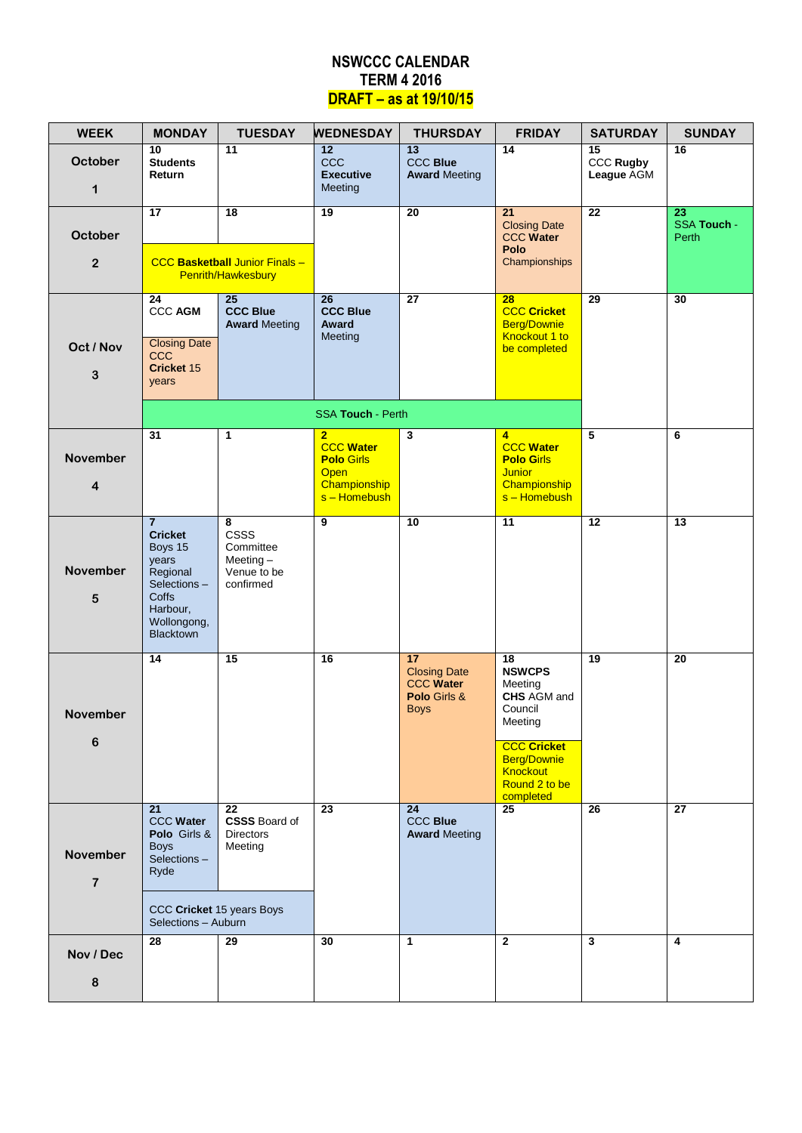### **NSWCCC CALENDAR TERM 4 2016 DRAFT – as at 19/10/15**

| <b>WEEK</b>                       | <b>MONDAY</b>                                                                                                                           | <b>TUESDAY</b>                                                                 | <b>WEDNESDAY</b>                                                                                  | <b>THURSDAY</b>                                                              | <b>FRIDAY</b>                                                                                                                                                                        | <b>SATURDAY</b>                                   | <b>SUNDAY</b>                     |
|-----------------------------------|-----------------------------------------------------------------------------------------------------------------------------------------|--------------------------------------------------------------------------------|---------------------------------------------------------------------------------------------------|------------------------------------------------------------------------------|--------------------------------------------------------------------------------------------------------------------------------------------------------------------------------------|---------------------------------------------------|-----------------------------------|
| October<br>1                      | $\overline{10}$<br><b>Students</b><br>Return                                                                                            | $\overline{11}$                                                                | $\overline{12}$<br><b>CCC</b><br><b>Executive</b><br>Meeting                                      | $\overline{13}$<br><b>CCC Blue</b><br><b>Award Meeting</b>                   | 14                                                                                                                                                                                   | $\overline{15}$<br><b>CCC Rugby</b><br>League AGM | $\overline{16}$                   |
| October<br>$\mathbf{2}$           | 17                                                                                                                                      | $\overline{18}$<br><b>CCC Basketball Junior Finals -</b><br>Penrith/Hawkesbury | 19                                                                                                | $\overline{20}$                                                              | 21<br><b>Closing Date</b><br><b>CCC Water</b><br>Polo<br>Championships                                                                                                               | $\overline{22}$                                   | 23<br><b>SSA Touch -</b><br>Perth |
| Oct / Nov<br>3                    | 24<br><b>CCC AGM</b><br><b>Closing Date</b><br><b>CCC</b><br>Cricket 15<br>years                                                        | $\overline{25}$<br><b>CCC Blue</b><br><b>Award Meeting</b>                     | $\overline{26}$<br><b>CCC Blue</b><br>Award<br>Meeting                                            | $\overline{27}$                                                              | 28<br><b>CCC Cricket</b><br><b>Berg/Downie</b><br>Knockout 1 to<br>be completed                                                                                                      | $\overline{29}$                                   | 30                                |
|                                   |                                                                                                                                         |                                                                                | <b>SSA Touch - Perth</b>                                                                          |                                                                              |                                                                                                                                                                                      |                                                   |                                   |
| <b>November</b><br>4              | $\overline{31}$                                                                                                                         | $\mathbf{1}$                                                                   | $\overline{2}$<br><b>CCC Water</b><br><b>Polo Girls</b><br>Open<br>Championship<br>$s -$ Homebush | $\mathbf{3}$                                                                 | $\overline{4}$<br><b>CCC Water</b><br><b>Polo Girls</b><br><b>Junior</b><br>Championship<br>s-Homebush                                                                               | $\overline{5}$                                    | 6                                 |
| <b>November</b><br>5              | $\overline{7}$<br><b>Cricket</b><br>Boys 15<br>years<br>Regional<br>Selections-<br>Coffs<br>Harbour,<br>Wollongong,<br><b>Blacktown</b> | 8<br><b>CSSS</b><br>Committee<br>Meeting $-$<br>Venue to be<br>confirmed       | $\overline{9}$                                                                                    | 10                                                                           | $\overline{11}$                                                                                                                                                                      | $\overline{12}$                                   | $\overline{13}$                   |
| <b>November</b><br>6              | 14                                                                                                                                      | 15                                                                             | 16                                                                                                | 17<br><b>Closing Date</b><br><b>CCC Water</b><br>Polo Girls &<br><b>Boys</b> | $\overline{18}$<br><b>NSWCPS</b><br>Meeting<br><b>CHS</b> AGM and<br>Council<br>Meeting<br><b>CCC Cricket</b><br><b>Berg/Downie</b><br><b>Knockout</b><br>Round 2 to be<br>completed | 19                                                | $\overline{20}$                   |
| <b>November</b><br>$\overline{7}$ | 21<br><b>CCC Water</b><br>Polo Girls &<br><b>Boys</b><br>Selections-<br>Ryde<br>CCC Cricket 15 years Boys<br>Selections - Auburn        | 22<br><b>CSSS Board of</b><br><b>Directors</b><br>Meeting                      | 23                                                                                                | 24<br><b>CCC Blue</b><br><b>Award Meeting</b>                                | $\overline{25}$                                                                                                                                                                      | 26                                                | 27                                |
| Nov / Dec<br>8                    | 28                                                                                                                                      | $\overline{29}$                                                                | 30                                                                                                | $\mathbf{1}$                                                                 | $\overline{2}$                                                                                                                                                                       | 3                                                 | 4                                 |